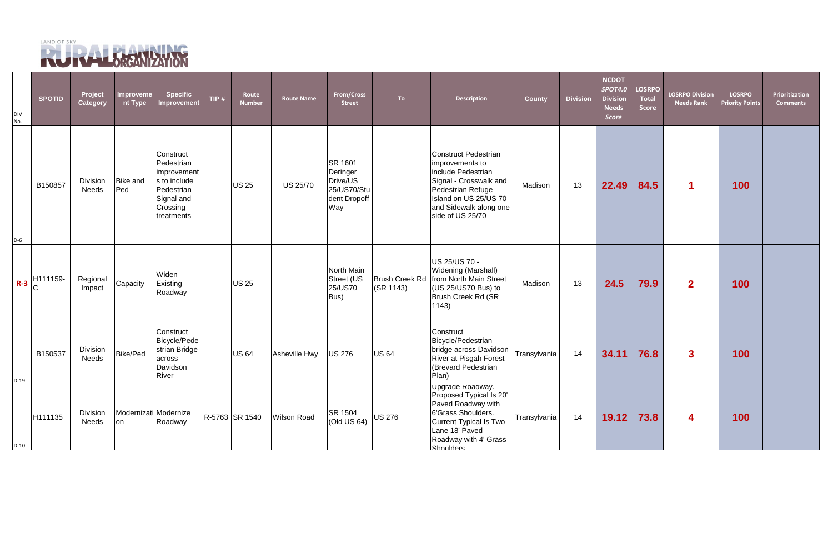

| <b>DIV</b><br>No. | <b>SPOTID</b> | Project<br>Category      | <b>Improveme</b><br>nt Type | <b>Specific</b><br>Improvement                                                                               | TIP $#$ | Route<br><b>Number</b> | <b>Route Name</b>  | From/Cross<br><b>Street</b>                                           | To                                 | <b>Description</b>                                                                                                                                                                         | <b>County</b> | <b>Division</b> | <b>NCDOT</b><br><b>SPOT4.0</b><br><b>Division</b><br><b>Needs</b><br><b>Score</b> | <b>LOSRPO</b><br><b>Total</b><br><b>Score</b> | <b>LOSRPO Division</b><br><b>Needs Rank</b> | <b>LOSRPO</b><br><b>Priority Points</b> | Prioritization<br><b>Comments</b> |
|-------------------|---------------|--------------------------|-----------------------------|--------------------------------------------------------------------------------------------------------------|---------|------------------------|--------------------|-----------------------------------------------------------------------|------------------------------------|--------------------------------------------------------------------------------------------------------------------------------------------------------------------------------------------|---------------|-----------------|-----------------------------------------------------------------------------------|-----------------------------------------------|---------------------------------------------|-----------------------------------------|-----------------------------------|
| $D-6$             | B150857       | Division<br><b>Needs</b> | <b>Bike and</b><br>Ped      | Construct<br>Pedestrian<br>improvement<br>s to include<br>Pedestrian<br>Signal and<br>Crossing<br>treatments |         | US 25                  | <b>US 25/70</b>    | SR 1601<br>Deringer<br>Drive/US<br>25/US70/Stu<br>dent Dropoff<br>Way |                                    | <b>Construct Pedestrian</b><br>improvements to<br>include Pedestrian<br>Signal - Crosswalk and<br>Pedestrian Refuge<br>Island on US 25/US 70<br>and Sidewalk along one<br>side of US 25/70 | Madison       | 13              | 22.49                                                                             | 84.5                                          |                                             | 100                                     |                                   |
| $R-3$             | H111159-      | Regional<br>Impact       | Capacity                    | Widen<br>Existing<br>Roadway                                                                                 |         | US 25                  |                    | North Main<br>Street (US<br>25/US70<br>Bus)                           | <b>Brush Creek Rd</b><br>(SR 1143) | US 25/US 70 -<br>Widening (Marshall)<br>from North Main Street<br>(US 25/US70 Bus) to<br>Brush Creek Rd (SR<br>1143)                                                                       | Madison       | 13              | 24.5                                                                              | 79.9                                          | 2 <sup>1</sup>                              | 100                                     |                                   |
| $D-19$            | B150537       | Division<br><b>Needs</b> | Bike/Ped                    | Construct<br>Bicycle/Pede<br>strian Bridge<br>across<br>Davidson<br>River                                    |         | US 64                  | Asheville Hwy      | <b>US 276</b>                                                         | <b>US 64</b>                       | Construct<br>Bicycle/Pedestrian<br>bridge across Davidson<br>River at Pisgah Forest<br>(Brevard Pedestrian<br>Plan)                                                                        | Transylvania  | 14              | 34.11                                                                             | 76.8                                          | $\mathbf{3}$                                | 100                                     |                                   |
| $D-10$            | H111135       | Division<br>Needs        | on                          | Modernizati Modernize<br>Roadway                                                                             |         | R-5763 SR 1540         | <b>Wilson Road</b> | SR 1504<br>$\vert$ (Old US 64)                                        | <b>US 276</b>                      | Upgrade Roadway.<br>Proposed Typical Is 20'<br>Paved Roadway with<br>6'Grass Shoulders.<br><b>Current Typical Is Two</b><br>Lane 18' Paved<br>Roadway with 4' Grass<br>Shoulders           | Transylvania  | 14              | 19.12                                                                             | 73.8                                          | 4                                           | 100                                     |                                   |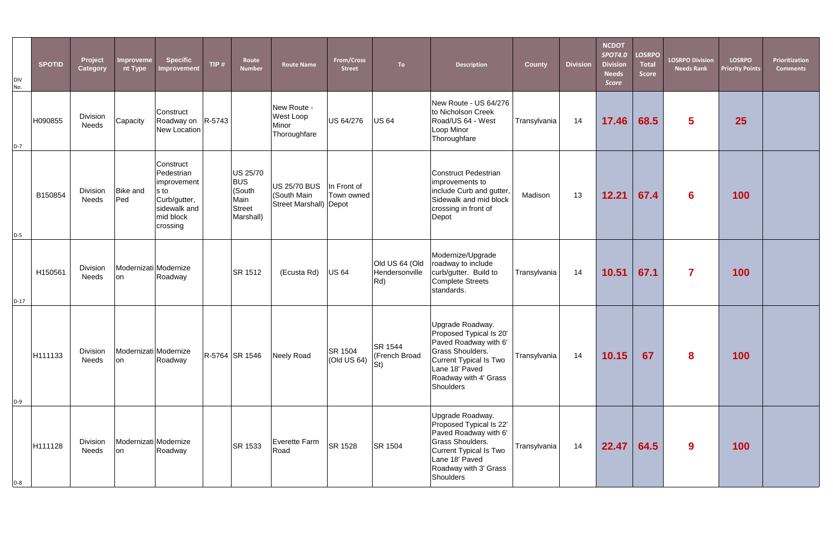| DIV<br>No. | <b>SPOTID</b> | Project<br><b>Category</b>      | Improveme<br>nt Type        | <b>Specific</b><br>Improvement                                                                          | TIP $#$ | Route<br><b>Number</b>                                                 | <b>Route Name</b>                                            | From/Cross<br><b>Street</b> | <b>To</b>                                        | <b>Description</b>                                                                                                                                                                | <b>County</b> | <b>Division</b> | <b>NCDOT</b><br><b>SPOT4.0</b><br><b>Division</b><br><b>Needs</b><br>Score | <b>LOSRPO</b><br><b>Total</b><br><b>Score</b> | <b>LOSRPO Division</b><br><b>Needs Rank</b> | <b>LOSRPO</b><br><b>Priority Points</b> | Prioritization<br>Comments |
|------------|---------------|---------------------------------|-----------------------------|---------------------------------------------------------------------------------------------------------|---------|------------------------------------------------------------------------|--------------------------------------------------------------|-----------------------------|--------------------------------------------------|-----------------------------------------------------------------------------------------------------------------------------------------------------------------------------------|---------------|-----------------|----------------------------------------------------------------------------|-----------------------------------------------|---------------------------------------------|-----------------------------------------|----------------------------|
| $D-7$      | H090855       | <b>Division</b><br><b>Needs</b> | Capacity                    | Construct<br>Roadway on R-5743<br>New Location                                                          |         |                                                                        | New Route -<br>West Loop<br>Minor<br>Thoroughfare            | US 64/276                   | <b>US 64</b>                                     | New Route - US 64/276<br>to Nicholson Creek<br>Road/US 64 - West<br>Loop Minor<br>Thoroughfare                                                                                    | Transylvania  | 14              | 17.46                                                                      | 68.5                                          | 5 <sup>1</sup>                              | 25                                      |                            |
| $D-5$      | B150854       | <b>Division</b><br><b>Needs</b> | <b>Bike and</b><br>Ped      | Construct<br>Pedestrian<br>improvement<br>s to<br>Curb/gutter,<br>sidewalk and<br>mid block<br>crossing |         | <b>US 25/70</b><br><b>BUS</b><br>(South<br>Main<br>Street<br>Marshall) | <b>US 25/70 BUS</b><br>(South Main<br>Street Marshall) Depot | In Front of<br>Town owned   |                                                  | Construct Pedestrian<br>improvements to<br>include Curb and gutter,<br>Sidewalk and mid block<br>crossing in front of<br>Depot                                                    | Madison       | 13              | 12.21                                                                      | 67.4                                          | 6                                           | 100                                     |                            |
| $D-17$     | H150561       | Division<br>Needs               | Modernizati Modernize<br>on | Roadway                                                                                                 |         | <b>SR 1512</b>                                                         | (Ecusta Rd)                                                  | <b>US 64</b>                | Old US 64 (Old<br>Hendersonville<br>$ Rd\rangle$ | Modernize/Upgrade<br>roadway to include<br>curb/gutter. Build to<br>Complete Streets<br>standards.                                                                                | Transylvania  | 14              | 10.51                                                                      | 67.1                                          | $\overline{\mathbf{7}}$                     | 100                                     |                            |
| $D-9$      | H111133       | <b>Division</b><br><b>Needs</b> | Modernizati Modernize<br>on | Roadway                                                                                                 |         | R-5764 SR 1546                                                         | Neely Road                                                   | SR 1504<br>(Old US 64)      | SR 1544<br>(French Broad<br>St)                  | Upgrade Roadway.<br>Proposed Typical Is 20'<br>Paved Roadway with 6'<br>Grass Shoulders.<br>Current Typical Is Two<br>Lane 18' Paved<br>Roadway with 4' Grass<br>Shoulders        | Transylvania  | 14              | 10.15                                                                      | 67                                            | 8                                           | 100                                     |                            |
| $D-8$      | H111128       | <b>Division</b><br><b>Needs</b> | Modernizati Modernize<br>on | Roadway                                                                                                 |         | SR 1533                                                                | Everette Farm<br>Road                                        | SR 1528                     | SR 1504                                          | Upgrade Roadway.<br>Proposed Typical Is 22'<br>Paved Roadway with 6'<br><b>Grass Shoulders.</b><br>Current Typical Is Two<br>Lane 18' Paved<br>Roadway with 3' Grass<br>Shoulders | Transylvania  | 14              | 22.47                                                                      | 64.5                                          | 9                                           | 100                                     |                            |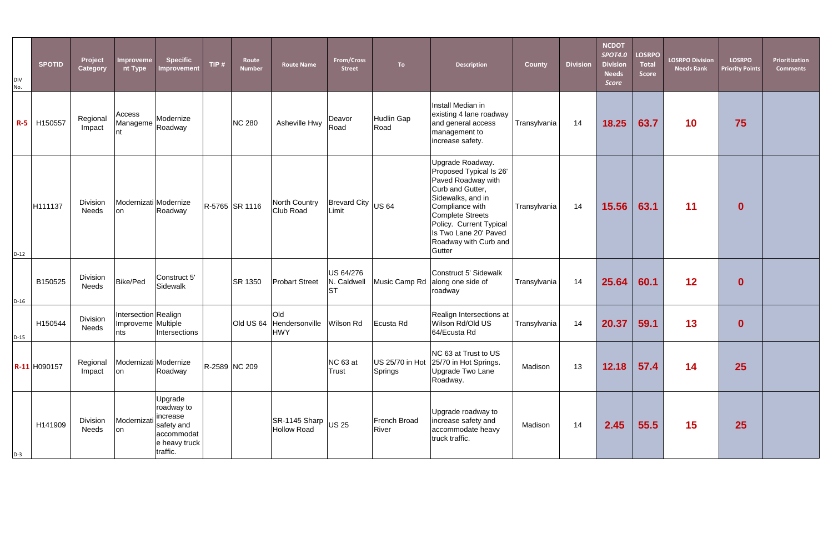| <b>DIV</b><br>No. | <b>SPOTID</b>      | Project<br>Category      | Improveme<br>nt Type                              | <b>Specific</b><br><b>Improvement</b>                                                      | TIP $#$ | Route<br><b>Number</b> | <b>Route Name</b>                                           | From/Cross<br><b>Street</b>           | <b>To</b>                  | <b>Description</b>                                                                                                                                                                                                                              | <b>County</b> | <b>Division</b> | <b>NCDOT</b><br><b>SPOT4.0</b><br><b>Division</b><br><b>Needs</b><br>Score | <b>LOSRPO</b><br><b>Total</b><br><b>Score</b> | <b>LOSRPO Division</b><br><b>Needs Rank</b> | <b>LOSRPO</b><br><b>Priority Points</b> | Prioritization<br><b>Comments</b> |
|-------------------|--------------------|--------------------------|---------------------------------------------------|--------------------------------------------------------------------------------------------|---------|------------------------|-------------------------------------------------------------|---------------------------------------|----------------------------|-------------------------------------------------------------------------------------------------------------------------------------------------------------------------------------------------------------------------------------------------|---------------|-----------------|----------------------------------------------------------------------------|-----------------------------------------------|---------------------------------------------|-----------------------------------------|-----------------------------------|
|                   | <b>R-5</b> H150557 | Regional<br>Impact       | Access<br>Manageme<br>nt                          | Modernize<br>Roadway                                                                       |         | <b>NC 280</b>          | Asheville Hwy                                               | Deavor<br>Road                        | <b>Hudlin Gap</b><br>Road  | Install Median in<br>existing 4 lane roadway<br>and general access<br>management to<br>increase safety.                                                                                                                                         | Transylvania  | 14              | 18.25                                                                      | 63.7                                          | 10                                          | 75                                      |                                   |
| $D-12$            | H111137            | Division<br><b>Needs</b> | Modernizati Modernize<br>on                       | Roadway                                                                                    |         | R-5765 SR 1116         | North Country<br><b>Club Road</b>                           | <b>Brevard City</b><br>Limit          | <b>US 64</b>               | Upgrade Roadway.<br>Proposed Typical Is 26'<br>Paved Roadway with<br>Curb and Gutter,<br>Sidewalks, and in<br>Compliance with<br><b>Complete Streets</b><br>Policy. Current Typical<br>Is Two Lane 20' Paved<br>Roadway with Curb and<br>Gutter | Transylvania  | 14              | 15.56                                                                      | 63.1                                          | 11                                          | $\mathbf{0}$                            |                                   |
| $D-16$            | B150525            | Division<br><b>Needs</b> | Bike/Ped                                          | Construct 5'<br>Sidewalk                                                                   |         | <b>SR 1350</b>         | <b>Probart Street</b>                                       | US 64/276<br>N. Caldwell<br><b>ST</b> | Music Camp Rd              | Construct 5' Sidewalk<br>along one side of<br>roadway                                                                                                                                                                                           | Transylvania  | 14              | 25.64                                                                      | 60.1                                          | 12                                          | $\mathbf{0}$                            |                                   |
| $D-15$            | H150544            | Division<br><b>Needs</b> | Intersection Realign<br>Improveme Multiple<br>nts | Intersections                                                                              |         |                        | Old<br>Old US 64 Hendersonville<br><b>HWY</b>               | <b>Wilson Rd</b>                      | Ecusta Rd                  | Realign Intersections at<br>Wilson Rd/Old US<br>64/Ecusta Rd                                                                                                                                                                                    | Transylvania  | 14              | 20.37                                                                      | 59.1                                          | 13                                          | $\mathbf{0}$                            |                                   |
|                   | R-11 H090157       | Regional<br>Impact       | Modernizati Modernize<br>on                       | Roadway                                                                                    |         | R-2589 NC 209          |                                                             | NC 63 at<br>Trust                     | US 25/70 in Hot<br>Springs | NC 63 at Trust to US<br>25/70 in Hot Springs.<br>Upgrade Two Lane<br>Roadway.                                                                                                                                                                   | Madison       | 13              | 12.18                                                                      | 57.4                                          | 14                                          | 25                                      |                                   |
| $D-3$             | H141909            | Division<br>Needs        | Modernizati<br>lon                                | Upgrade<br>roadway to<br>increase<br>safety and<br>accommodat<br>e heavy truck<br>traffic. |         |                        | $ $ SR-1145 Sharp $ _{\text{US } 25}$<br><b>Hollow Road</b> |                                       | French Broad<br>River      | Upgrade roadway to<br>increase safety and<br>accommodate heavy<br>truck traffic.                                                                                                                                                                | Madison       | 14              | 2.45                                                                       | 55.5                                          | 15                                          | <b>25</b>                               |                                   |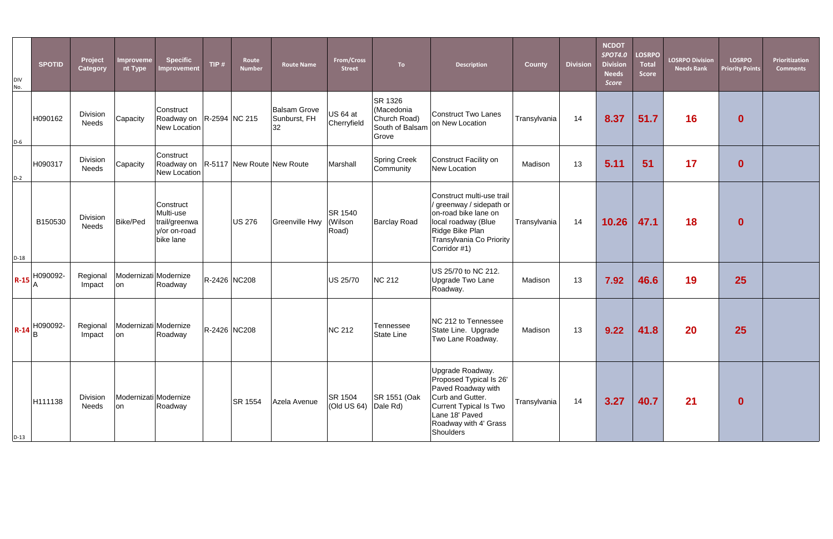| <b>DIV</b><br>No. | <b>SPOTID</b>    | Project<br>Category             | Improveme<br>nt Type         | <b>Specific</b><br>Improvement                                           | TIP $#$      | Route<br><b>Number</b> | <b>Route Name</b>                         | From/Cross<br><b>Street</b>        | To:                                                               | <b>Description</b>                                                                                                                                                      | <b>County</b> | <b>Division</b> | <b>NCDOT</b><br><b>SPOT4.0</b><br><b>Division</b><br><b>Needs</b><br>Score | <b>LOSRPO</b><br><b>Total</b><br><b>Score</b> | <b>LOSRPO Division</b><br><b>Needs Rank</b> | <b>LOSRPO</b><br><b>Priority Points</b> | Prioritization<br><b>Comments</b> |
|-------------------|------------------|---------------------------------|------------------------------|--------------------------------------------------------------------------|--------------|------------------------|-------------------------------------------|------------------------------------|-------------------------------------------------------------------|-------------------------------------------------------------------------------------------------------------------------------------------------------------------------|---------------|-----------------|----------------------------------------------------------------------------|-----------------------------------------------|---------------------------------------------|-----------------------------------------|-----------------------------------|
| $D-6$             | H090162          | Division<br><b>Needs</b>        | Capacity                     | Construct<br>Roadway on   R-2594   NC 215<br>New Location                |              |                        | <b>Balsam Grove</b><br>Sunburst, FH<br>32 | US 64 at<br>Cherryfield            | SR 1326<br>(Macedonia<br>Church Road)<br>South of Balsam<br>Grove | Construct Two Lanes<br>on New Location                                                                                                                                  | Transylvania  | 14              | 8.37                                                                       | 51.7                                          | 16                                          | $\mathbf 0$                             |                                   |
| $D-2$             | H090317          | Division<br><b>Needs</b>        | Capacity                     | Construct<br>Roadway on   R-5117   New Route   New Route<br>New Location |              |                        |                                           | Marshall                           | <b>Spring Creek</b><br>Community                                  | Construct Facility on<br>New Location                                                                                                                                   | Madison       | 13              | 5.11                                                                       | 51                                            | 17                                          | $\mathbf 0$                             |                                   |
| $D-18$            | B150530          | Division<br><b>Needs</b>        | Bike/Ped                     | Construct<br>Multi-use<br>trail/greenwa<br>y/or on-road<br>bike lane     |              | <b>US 276</b>          | <b>Greenville Hwy</b>                     | <b>SR 1540</b><br>(Wilson<br>Road) | <b>Barclay Road</b>                                               | Construct multi-use trail<br>/ greenway / sidepath or<br>on-road bike lane on<br>local roadway (Blue<br>Ridge Bike Plan<br>Transylvania Co Priority<br>Corridor #1)     | Transylvania  | 14              | 10.26                                                                      | 47.1                                          | <b>18</b>                                   | $\mathbf 0$                             |                                   |
|                   |                  | Regional<br>Impact              | Modernizati Modernize<br>lon | Roadway                                                                  | R-2426 NC208 |                        |                                           | US 25/70                           | NC 212                                                            | US 25/70 to NC 212.<br>Upgrade Two Lane<br>Roadway.                                                                                                                     | Madison       | 13              | 7.92                                                                       | 46.6                                          | 19                                          | 25                                      |                                   |
|                   | $R - 14$ $B$ $B$ | Regional<br>Impact              | Modernizati Modernize<br>on  | Roadway                                                                  | R-2426 NC208 |                        |                                           | <b>NC 212</b>                      | <b>Tennessee</b><br><b>State Line</b>                             | NC 212 to Tennessee<br>State Line. Upgrade<br>Two Lane Roadway.                                                                                                         | Madison       | 13              | 9.22                                                                       | 41.8                                          | 20                                          | 25                                      |                                   |
| $D-13$            | H111138          | <b>Division</b><br><b>Needs</b> | Modernizati Modernize<br>on  | Roadway                                                                  |              | <b>SR 1554</b>         | Azela Avenue                              | SR 1504<br>(Old US 64)             | SR 1551 (Oak<br>Dale Rd)                                          | Upgrade Roadway.<br>Proposed Typical Is 26'<br>Paved Roadway with<br>Curb and Gutter.<br>Current Typical Is Two<br>Lane 18' Paved<br>Roadway with 4' Grass<br>Shoulders | Transylvania  | 14              | 3.27                                                                       | 40.7                                          | 21                                          | $\mathbf{0}$                            |                                   |